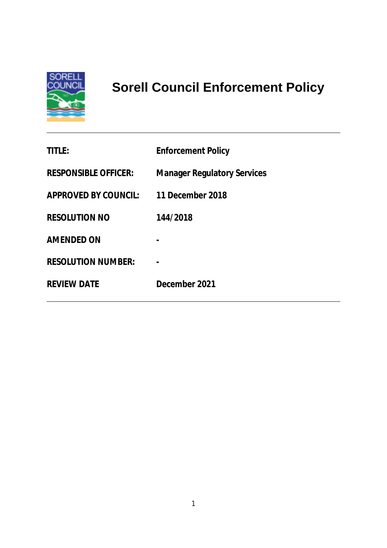

# **Sorell Council Enforcement Policy**

| <b>TITLE:</b>               | <b>Enforcement Policy</b>          |
|-----------------------------|------------------------------------|
| <b>RESPONSIBLE OFFICER:</b> | <b>Manager Regulatory Services</b> |
| <b>APPROVED BY COUNCIL:</b> | 11 December 2018                   |
| <b>RESOLUTION NO</b>        | 144/2018                           |
| <b>AMENDED ON</b>           |                                    |
| <b>RESOLUTION NUMBER:</b>   |                                    |
| <b>REVIEW DATE</b>          | December 2021                      |
|                             |                                    |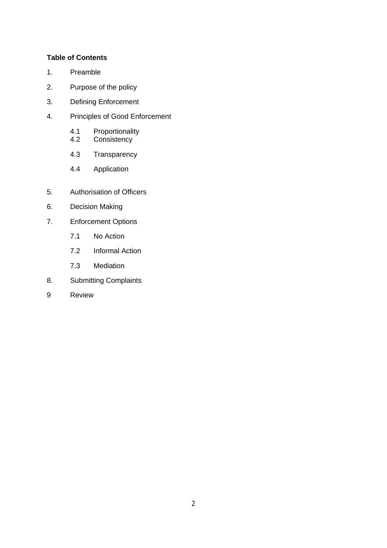## **Table of Contents**

- 1. Preamble
- 2. Purpose of the policy
- 3. Defining Enforcement
- 4. Principles of Good Enforcement
	- 4.1 Proportionality<br>4.2 Consistency
	- Consistency
	- 4.3 Transparency
	- 4.4 Application
- 5. Authorisation of Officers
- 6. Decision Making
- 7. Enforcement Options
	- 7.1 No Action
	- 7.2 Informal Action
	- 7.3 Mediation
- 8. Submitting Complaints
- 9 Review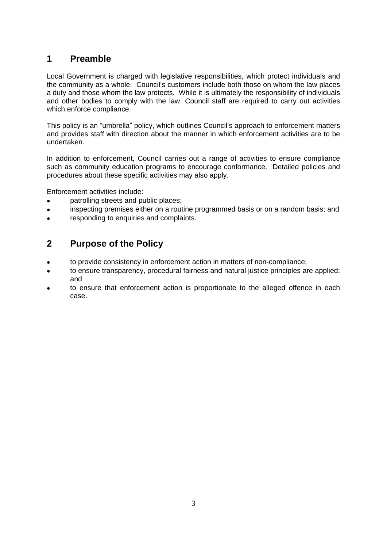# **1 Preamble**

Local Government is charged with legislative responsibilities, which protect individuals and the community as a whole. Council's customers include both those on whom the law places a duty and those whom the law protects. While it is ultimately the responsibility of individuals and other bodies to comply with the law, Council staff are required to carry out activities which enforce compliance.

This policy is an "umbrella" policy, which outlines Council's approach to enforcement matters and provides staff with direction about the manner in which enforcement activities are to be undertaken.

In addition to enforcement, Council carries out a range of activities to ensure compliance such as community education programs to encourage conformance. Detailed policies and procedures about these specific activities may also apply.

Enforcement activities include:

- patrolling streets and public places;
- inspecting premises either on a routine programmed basis or on a random basis; and
- responding to enquiries and complaints.

# **2 Purpose of the Policy**

- to provide consistency in enforcement action in matters of non-compliance;
- to ensure transparency, procedural fairness and natural justice principles are applied; and
- to ensure that enforcement action is proportionate to the alleged offence in each case.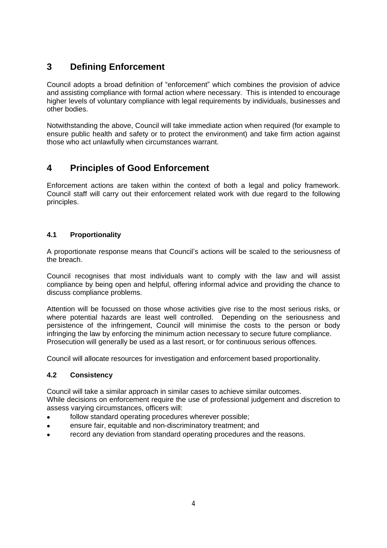# **3 Defining Enforcement**

Council adopts a broad definition of "enforcement" which combines the provision of advice and assisting compliance with formal action where necessary. This is intended to encourage higher levels of voluntary compliance with legal requirements by individuals, businesses and other bodies.

Notwithstanding the above, Council will take immediate action when required (for example to ensure public health and safety or to protect the environment) and take firm action against those who act unlawfully when circumstances warrant.

# **4 Principles of Good Enforcement**

Enforcement actions are taken within the context of both a legal and policy framework. Council staff will carry out their enforcement related work with due regard to the following principles.

# **4.1 Proportionality**

A proportionate response means that Council's actions will be scaled to the seriousness of the breach.

Council recognises that most individuals want to comply with the law and will assist compliance by being open and helpful, offering informal advice and providing the chance to discuss compliance problems.

Attention will be focussed on those whose activities give rise to the most serious risks, or where potential hazards are least well controlled. Depending on the seriousness and persistence of the infringement, Council will minimise the costs to the person or body infringing the law by enforcing the minimum action necessary to secure future compliance. Prosecution will generally be used as a last resort, or for continuous serious offences.

Council will allocate resources for investigation and enforcement based proportionality.

# **4.2 Consistency**

Council will take a similar approach in similar cases to achieve similar outcomes. While decisions on enforcement require the use of professional judgement and discretion to assess varying circumstances, officers will:

- follow standard operating procedures wherever possible;
- ensure fair, equitable and non-discriminatory treatment; and
- record any deviation from standard operating procedures and the reasons.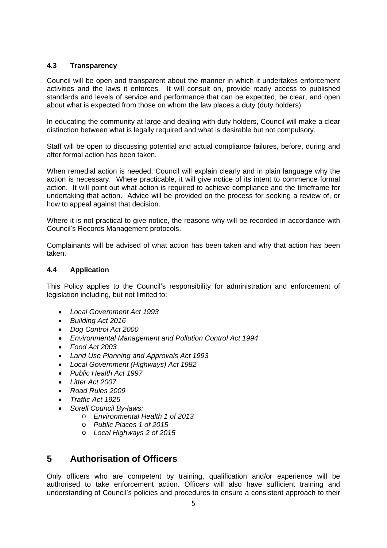# **4.3 Transparency**

Council will be open and transparent about the manner in which it undertakes enforcement activities and the laws it enforces. It will consult on, provide ready access to published standards and levels of service and performance that can be expected, be clear, and open about what is expected from those on whom the law places a duty (duty holders).

In educating the community at large and dealing with duty holders, Council will make a clear distinction between what is legally required and what is desirable but not compulsory.

Staff will be open to discussing potential and actual compliance failures, before, during and after formal action has been taken.

When remedial action is needed, Council will explain clearly and in plain language why the action is necessary. Where practicable, it will give notice of its intent to commence formal action. It will point out what action is required to achieve compliance and the timeframe for undertaking that action. Advice will be provided on the process for seeking a review of, or how to appeal against that decision.

Where it is not practical to give notice, the reasons why will be recorded in accordance with Council's Records Management protocols.

Complainants will be advised of what action has been taken and why that action has been taken.

### **4.4 Application**

This Policy applies to the Council's responsibility for administration and enforcement of legislation including, but not limited to:

- *Local Government Act 1993*
- *Building Act 2016*
- *Dog Control Act 2000*
- *Environmental Management and Pollution Control Act 1994*
- *Food Act 2003*
- *Land Use Planning and Approvals Act 1993*
- *Local Government (Highways) Act 1982*
- *Public Health Act 1997*
- *Litter Act 2007*
- *Road Rules 2009*
- *Traffic Act 1925*
- *Sorell Council By-laws:*
	- o *Environmental Health 1 of 2013*
	- o *Public Places 1 of 2015*
	- o *Local Highways 2 of 2015*

# **5 Authorisation of Officers**

Only officers who are competent by training, qualification and/or experience will be authorised to take enforcement action. Officers will also have sufficient training and understanding of Council's policies and procedures to ensure a consistent approach to their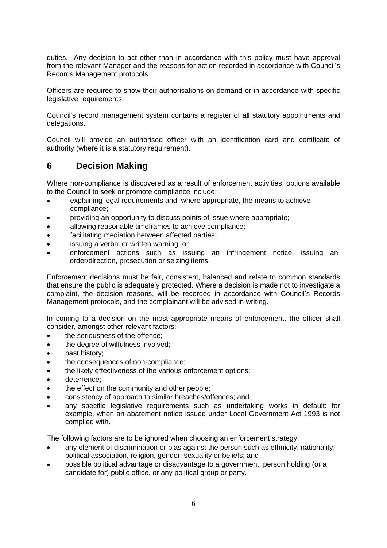duties. Any decision to act other than in accordance with this policy must have approval from the relevant Manager and the reasons for action recorded in accordance with Council's Records Management protocols.

Officers are required to show their authorisations on demand or in accordance with specific legislative requirements.

Council's record management system contains a register of all statutory appointments and delegations.

Council will provide an authorised officer with an identification card and certificate of authority (where it is a statutory requirement).

# **6 Decision Making**

Where non-compliance is discovered as a result of enforcement activities, options available to the Council to seek or promote compliance include:

- explaining legal requirements and, where appropriate, the means to achieve compliance;
- providing an opportunity to discuss points of issue where appropriate;
- allowing reasonable timeframes to achieve compliance;
- facilitating mediation between affected parties;
- issuing a verbal or written warning; or
- enforcement actions such as issuing an infringement notice, issuing an order/direction, prosecution or seizing items.

Enforcement decisions must be fair, consistent, balanced and relate to common standards that ensure the public is adequately protected. Where a decision is made not to investigate a complaint, the decision reasons, will be recorded in accordance with Council's Records Management protocols, and the complainant will be advised in writing.

In coming to a decision on the most appropriate means of enforcement, the officer shall consider, amongst other relevant factors:

- the seriousness of the offence;
- the degree of wilfulness involved;
- past history;
- the consequences of non*-*compliance;
- the likely effectiveness of the various enforcement options;
- deterrence;
- the effect on the community and other people;
- consistency of approach to similar breaches/offences; and
- any specific legislative requirements such as undertaking works in default: for example, when an abatement notice issued under Local Government Act 1993 is not complied with.

The following factors are to be ignored when choosing an enforcement strategy:

- any element of discrimination or bias against the person such as ethnicity, nationality, political association, religion, gender, sexuality or beliefs; and
- possible political advantage or disadvantage to a government, person holding (or a candidate for) public office, or any political group or party.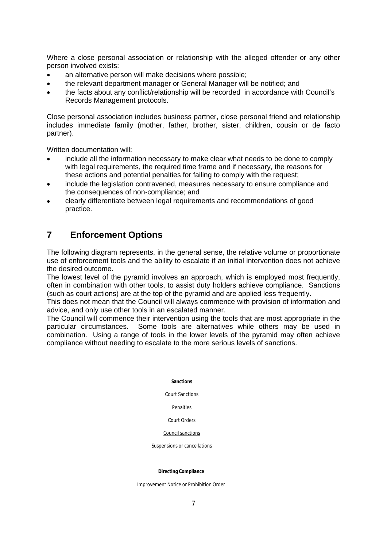Where a close personal association or relationship with the alleged offender or any other person involved exists:

- an alternative person will make decisions where possible;
- the relevant department manager or General Manager will be notified; and
- the facts about any conflict/relationship will be recorded in accordance with Council's Records Management protocols.

Close personal association includes business partner, close personal friend and relationship includes immediate family (mother, father, brother, sister, children, cousin or de facto partner).

Written documentation will:

- include all the information necessary to make clear what needs to be done to comply with legal requirements, the required time frame and if necessary, the reasons for these actions and potential penalties for failing to comply with the request;
- include the legislation contravened, measures necessary to ensure compliance and the consequences of non*-*compliance; and
- clearly differentiate between legal requirements and recommendations of good practice.

# **7 Enforcement Options**

The following diagram represents, in the general sense, the relative volume or proportionate use of enforcement tools and the ability to escalate if an initial intervention does not achieve the desired outcome.

The lowest level of the pyramid involves an approach, which is employed most frequently, often in combination with other tools, to assist duty holders achieve compliance. Sanctions (such as court actions) are at the top of the pyramid and are applied less frequently.

This does not mean that the Council will always commence with provision of information and advice, and only use other tools in an escalated manner.

The Council will commence their intervention using the tools that are most appropriate in the particular circumstances. Some tools are alternatives while others may be used in combination. Using a range of tools in the lower levels of the pyramid may often achieve compliance without needing to escalate to the more serious levels of sanctions.

#### **Sanctions**

#### Court Sanctions

Penalties

#### Court Orders

#### Council sanctions

Suspensions or cancellations

#### **Directing Compliance**

Improvement Notice or Prohibition Order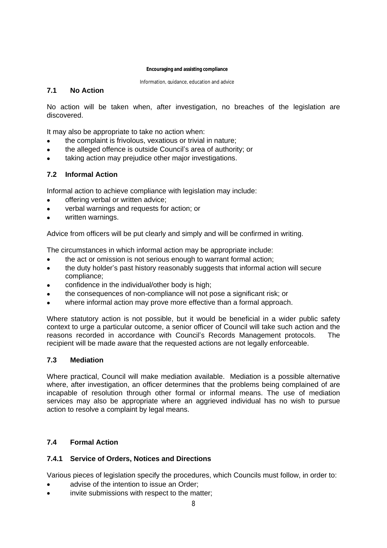#### **Encouraging and assisting compliance**

Information, guidance, education and advice

# **7.1 No Action**

No action will be taken when, after investigation, no breaches of the legislation are discovered.

It may also be appropriate to take no action when:

- the complaint is frivolous, vexatious or trivial in nature;
- the alleged offence is outside Council's area of authority; or
- taking action may prejudice other major investigations.

# **7.2 Informal Action**

Informal action to achieve compliance with legislation may include:

- offering verbal or written advice;
- verbal warnings and requests for action; or
- written warnings.

Advice from officers will be put clearly and simply and will be confirmed in writing.

The circumstances in which informal action may be appropriate include:

- the act or omission is not serious enough to warrant formal action;
- the duty holder's past history reasonably suggests that informal action will secure compliance;
- confidence in the individual/other body is high;
- the consequences of non*-*compliance will not pose a significant risk; or
- where informal action may prove more effective than a formal approach.

Where statutory action is not possible, but it would be beneficial in a wider public safety context to urge a particular outcome, a senior officer of Council will take such action and the reasons recorded in accordance with Council's Records Management protocols. The recipient will be made aware that the requested actions are not legally enforceable.

### **7.3 Mediation**

Where practical, Council will make mediation available. Mediation is a possible alternative where, after investigation, an officer determines that the problems being complained of are incapable of resolution through other formal or informal means. The use of mediation services may also be appropriate where an aggrieved individual has no wish to pursue action to resolve a complaint by legal means.

# **7.4 Formal Action**

### **7.4.1 Service of Orders, Notices and Directions**

Various pieces of legislation specify the procedures, which Councils must follow, in order to:

- advise of the intention to issue an Order;
- invite submissions with respect to the matter;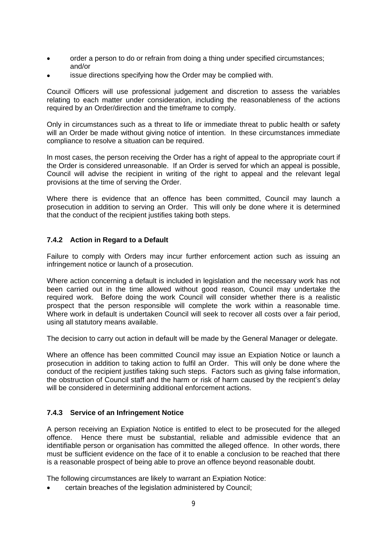- order a person to do or refrain from doing a thing under specified circumstances; and/or
- issue directions specifying how the Order may be complied with.

Council Officers will use professional judgement and discretion to assess the variables relating to each matter under consideration, including the reasonableness of the actions required by an Order/direction and the timeframe to comply.

Only in circumstances such as a threat to life or immediate threat to public health or safety will an Order be made without giving notice of intention. In these circumstances immediate compliance to resolve a situation can be required.

In most cases, the person receiving the Order has a right of appeal to the appropriate court if the Order is considered unreasonable. If an Order is served for which an appeal is possible, Council will advise the recipient in writing of the right to appeal and the relevant legal provisions at the time of serving the Order.

Where there is evidence that an offence has been committed, Council may launch a prosecution in addition to serving an Order. This will only be done where it is determined that the conduct of the recipient justifies taking both steps.

### **7.4.2 Action in Regard to a Default**

Failure to comply with Orders may incur further enforcement action such as issuing an infringement notice or launch of a prosecution.

Where action concerning a default is included in legislation and the necessary work has not been carried out in the time allowed without good reason, Council may undertake the required work. Before doing the work Council will consider whether there is a realistic prospect that the person responsible will complete the work within a reasonable time. Where work in default is undertaken Council will seek to recover all costs over a fair period, using all statutory means available.

The decision to carry out action in default will be made by the General Manager or delegate.

Where an offence has been committed Council may issue an Expiation Notice or launch a prosecution in addition to taking action to fulfil an Order. This will only be done where the conduct of the recipient justifies taking such steps. Factors such as giving false information, the obstruction of Council staff and the harm or risk of harm caused by the recipient's delay will be considered in determining additional enforcement actions.

### **7.4.3 Service of an Infringement Notice**

A person receiving an Expiation Notice is entitled to elect to be prosecuted for the alleged offence. Hence there must be substantial, reliable and admissible evidence that an identifiable person or organisation has committed the alleged offence. In other words, there must be sufficient evidence on the face of it to enable a conclusion to be reached that there is a reasonable prospect of being able to prove an offence beyond reasonable doubt.

The following circumstances are likely to warrant an Expiation Notice:

certain breaches of the legislation administered by Council;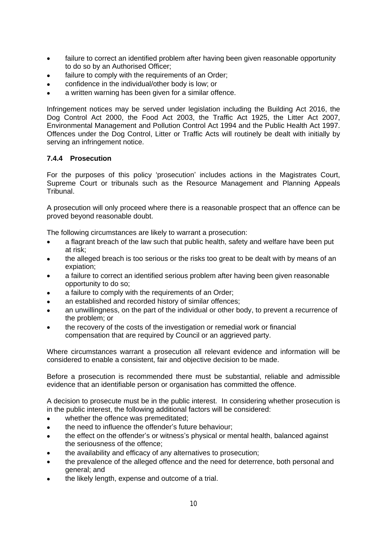- failure to correct an identified problem after having been given reasonable opportunity to do so by an Authorised Officer;
- failure to comply with the requirements of an Order:
- confidence in the individual/other body is low; or
- a written warning has been given for a similar offence.

Infringement notices may be served under legislation including the Building Act 2016, the Dog Control Act 2000, the Food Act 2003, the Traffic Act 1925, the Litter Act 2007, Environmental Management and Pollution Control Act 1994 and the Public Health Act 1997. Offences under the Dog Control, Litter or Traffic Acts will routinely be dealt with initially by serving an infringement notice.

# **7.4.4 Prosecution**

For the purposes of this policy 'prosecution' includes actions in the Magistrates Court, Supreme Court or tribunals such as the Resource Management and Planning Appeals Tribunal.

A prosecution will only proceed where there is a reasonable prospect that an offence can be proved beyond reasonable doubt.

The following circumstances are likely to warrant a prosecution:

- a flagrant breach of the law such that public health, safety and welfare have been put at risk;
- the alleged breach is too serious or the risks too great to be dealt with by means of an expiation;
- a failure to correct an identified serious problem after having been given reasonable opportunity to do so;
- a failure to comply with the requirements of an Order;
- an established and recorded history of similar offences;
- an unwillingness, on the part of the individual or other body, to prevent a recurrence of the problem; or
- the recovery of the costs of the investigation or remedial work or financial compensation that are required by Council or an aggrieved party.

Where circumstances warrant a prosecution all relevant evidence and information will be considered to enable a consistent, fair and objective decision to be made.

Before a prosecution is recommended there must be substantial, reliable and admissible evidence that an identifiable person or organisation has committed the offence.

A decision to prosecute must be in the public interest. In considering whether prosecution is in the public interest, the following additional factors will be considered:

- whether the offence was premeditated;
- the need to influence the offender's future behaviour:
- the effect on the offender's or witness's physical or mental health, balanced against the seriousness of the offence;
- the availability and efficacy of any alternatives to prosecution;
- the prevalence of the alleged offence and the need for deterrence, both personal and general; and
- the likely length, expense and outcome of a trial.